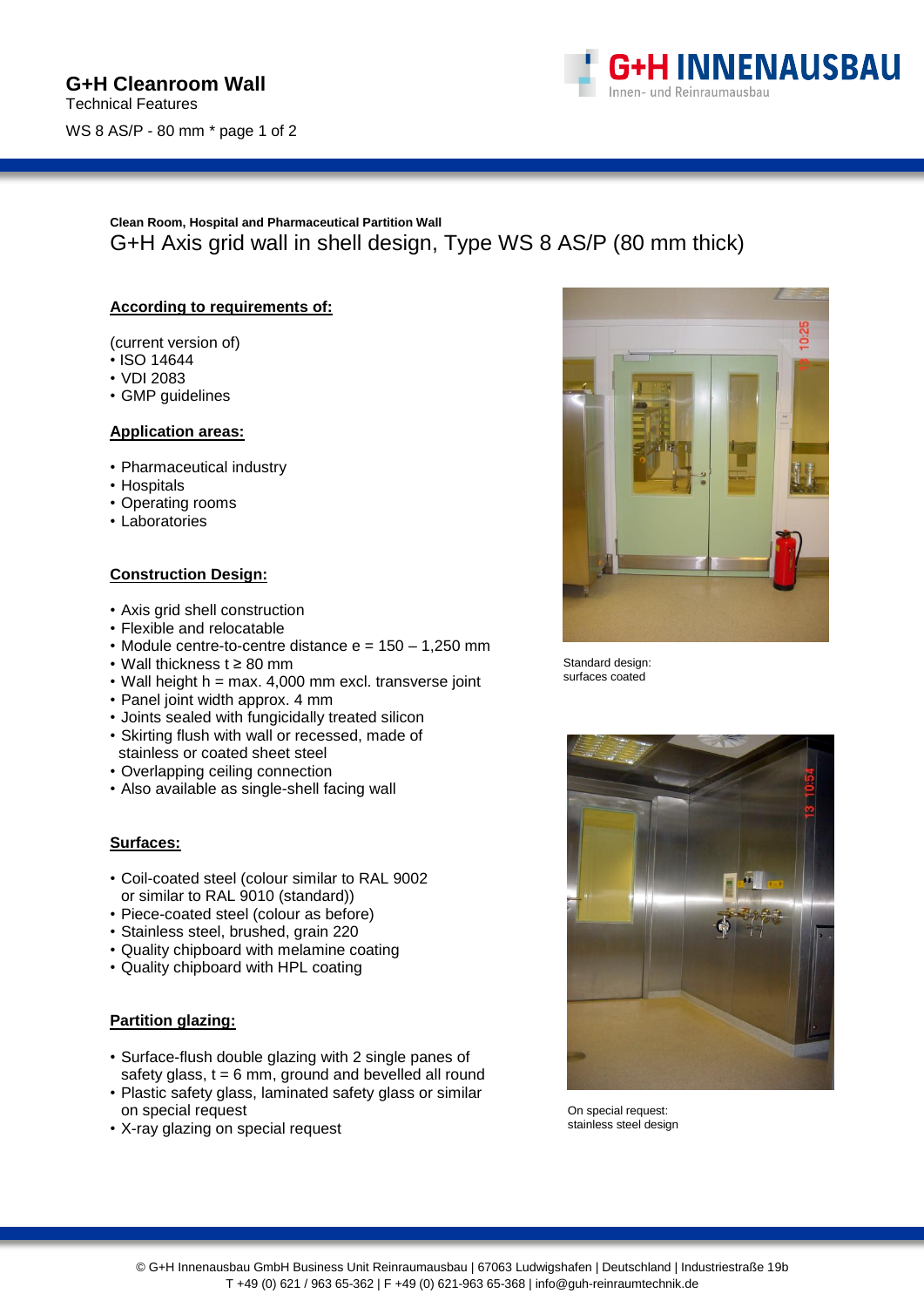

# **Clean Room, Hospital and Pharmaceutical Partition Wall** G+H Axis grid wall in shell design, Type WS 8 AS/P (80 mm thick)

### **According to requirements of:**

(current version of)

- ISO 14644
- VDI 2083
- GMP guidelines

#### **Application areas:**

- Pharmaceutical industry
- Hospitals
- Operating rooms
- Laboratories

#### **Construction Design:**

- Axis grid shell construction
- Flexible and relocatable
- Module centre-to-centre distance  $e = 150 1,250$  mm
- Wall thickness t ≥ 80 mm
- Wall height h = max. 4,000 mm excl. transverse joint
- Panel joint width approx. 4 mm
- Joints sealed with fungicidally treated silicon
- Skirting flush with wall or recessed, made of stainless or coated sheet steel
- Overlapping ceiling connection
- Also available as single-shell facing wall

### **Surfaces:**

- Coil-coated steel (colour similar to RAL 9002 or similar to RAL 9010 (standard))
- Piece-coated steel (colour as before)
- Stainless steel, brushed, grain 220
- Quality chipboard with melamine coating
- Quality chipboard with HPL coating

## **Partition glazing:**

- Surface-flush double glazing with 2 single panes of safety glass,  $t = 6$  mm, ground and bevelled all round
- Plastic safety glass, laminated safety glass or similar on special request
- X-ray glazing on special request



Standard design: surfaces coated



On special request: stainless steel design